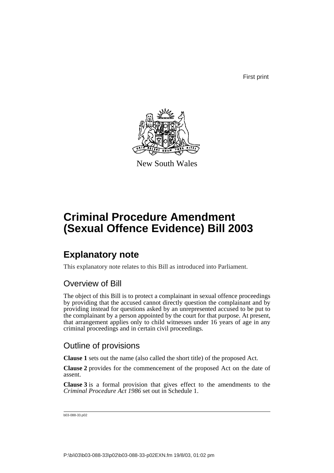First print



New South Wales

# **Criminal Procedure Amendment (Sexual Offence Evidence) Bill 2003**

## **Explanatory note**

This explanatory note relates to this Bill as introduced into Parliament.

### Overview of Bill

The object of this Bill is to protect a complainant in sexual offence proceedings by providing that the accused cannot directly question the complainant and by providing instead for questions asked by an unrepresented accused to be put to the complainant by a person appointed by the court for that purpose. At present, that arrangement applies only to child witnesses under 16 years of age in any criminal proceedings and in certain civil proceedings.

### Outline of provisions

**Clause 1** sets out the name (also called the short title) of the proposed Act.

**Clause 2** provides for the commencement of the proposed Act on the date of assent.

**Clause 3** is a formal provision that gives effect to the amendments to the *Criminal Procedure Act 1986* set out in Schedule 1.

```
b03-088-33.p02
```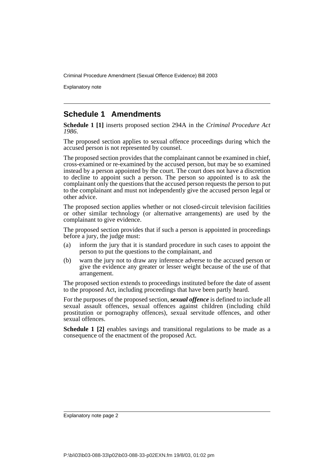Explanatory note

### **Schedule 1 Amendments**

**Schedule 1 [1]** inserts proposed section 294A in the *Criminal Procedure Act 1986*.

The proposed section applies to sexual offence proceedings during which the accused person is not represented by counsel.

The proposed section provides that the complainant cannot be examined in chief, cross-examined or re-examined by the accused person, but may be so examined instead by a person appointed by the court. The court does not have a discretion to decline to appoint such a person. The person so appointed is to ask the complainant only the questions that the accused person requests the person to put to the complainant and must not independently give the accused person legal or other advice.

The proposed section applies whether or not closed-circuit television facilities or other similar technology (or alternative arrangements) are used by the complainant to give evidence.

The proposed section provides that if such a person is appointed in proceedings before a jury, the judge must:

- (a) inform the jury that it is standard procedure in such cases to appoint the person to put the questions to the complainant, and
- (b) warn the jury not to draw any inference adverse to the accused person or give the evidence any greater or lesser weight because of the use of that arrangement.

The proposed section extends to proceedings instituted before the date of assent to the proposed Act, including proceedings that have been partly heard.

For the purposes of the proposed section, *sexual offence* is defined to include all sexual assault offences, sexual offences against children (including child prostitution or pornography offences), sexual servitude offences, and other sexual offences.

**Schedule 1 [2]** enables savings and transitional regulations to be made as a consequence of the enactment of the proposed Act.

Explanatory note page 2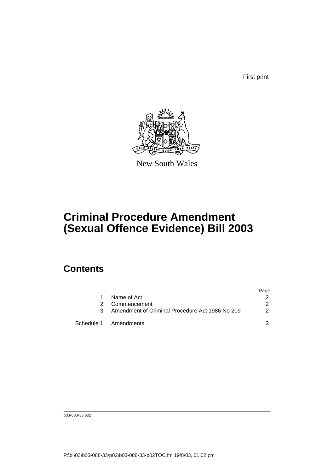First print



New South Wales

## **Criminal Procedure Amendment (Sexual Offence Evidence) Bill 2003**

### **Contents**

|   |                                                 | Page |
|---|-------------------------------------------------|------|
|   | Name of Act                                     |      |
| 2 | Commencement                                    | 2    |
|   | Amendment of Criminal Procedure Act 1986 No 209 | 2    |
|   | Schedule 1 Amendments                           | 3    |

b03-088-33.p02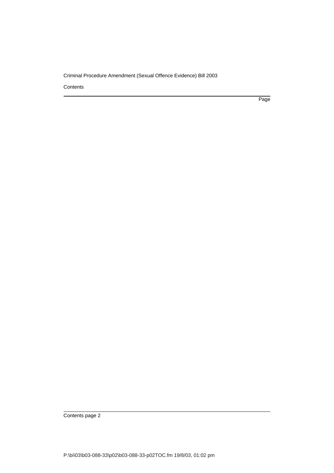**Contents** 

Page

Contents page 2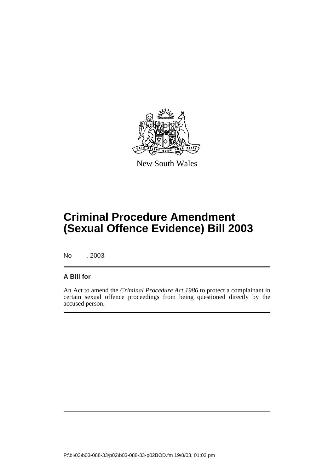

New South Wales

# **Criminal Procedure Amendment (Sexual Offence Evidence) Bill 2003**

No , 2003

#### **A Bill for**

An Act to amend the *Criminal Procedure Act 1986* to protect a complainant in certain sexual offence proceedings from being questioned directly by the accused person.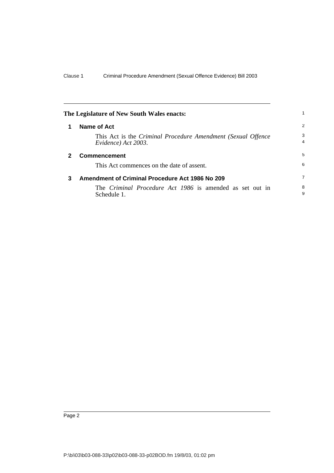<span id="page-5-2"></span><span id="page-5-1"></span><span id="page-5-0"></span>

| The Legislature of New South Wales enacts: |                                                                                     |        |
|--------------------------------------------|-------------------------------------------------------------------------------------|--------|
|                                            | <b>Name of Act</b>                                                                  | 2      |
|                                            | This Act is the Criminal Procedure Amendment (Sexual Offence<br>Evidence) Act 2003. | 3<br>4 |
|                                            | <b>Commencement</b>                                                                 | 5      |
|                                            | This Act commences on the date of assent.                                           | 6      |
| 3                                          | Amendment of Criminal Procedure Act 1986 No 209                                     | 7      |
|                                            | The Criminal Procedure Act 1986 is amended as set out in<br>Schedule 1.             | 8<br>9 |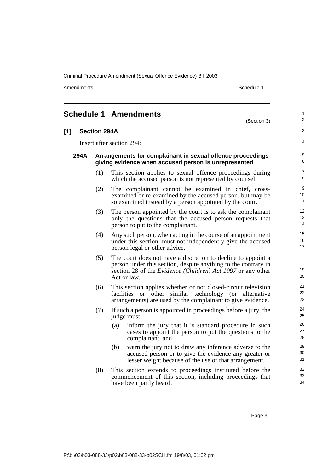Amendments **Schedule 1** and the set of the set of the set of the set of the set of the set of the set of the set of the set of the set of the set of the set of the set of the set of the set of the set of the set of the set

1 2

#### <span id="page-6-0"></span>**Schedule 1 Amendments**

(Section 3) **[1] Section 294A** Insert after section 294: **294A Arrangements for complainant in sexual offence proceedings giving evidence when accused person is unrepresented** (1) This section applies to sexual offence proceedings during which the accused person is not represented by counsel. (2) The complainant cannot be examined in chief, crossexamined or re-examined by the accused person, but may be so examined instead by a person appointed by the court. (3) The person appointed by the court is to ask the complainant only the questions that the accused person requests that person to put to the complainant. (4) Any such person, when acting in the course of an appointment under this section, must not independently give the accused person legal or other advice. (5) The court does not have a discretion to decline to appoint a person under this section, despite anything to the contrary in section 28 of the *Evidence (Children) Act 1997* or any other Act or law. (6) This section applies whether or not closed-circuit television facilities or other similar technology (or alternative arrangements) are used by the complainant to give evidence. (7) If such a person is appointed in proceedings before a jury, the judge must: (a) inform the jury that it is standard procedure in such cases to appoint the person to put the questions to the complainant, and (b) warn the jury not to draw any inference adverse to the accused person or to give the evidence any greater or lesser weight because of the use of that arrangement. (8) This section extends to proceedings instituted before the commencement of this section, including proceedings that have been partly heard. 3 4 5 6 7 8 9 10 11 12 13 14 15 16 17 19 20 21 22 23 24 25 26 27 28 29 30 31 32 33 34

Page 3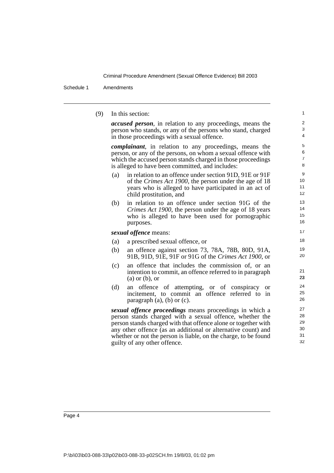Schedule 1 Amendments

(9) In this section:

*accused person*, in relation to any proceedings, means the person who stands, or any of the persons who stand, charged in those proceedings with a sexual offence.

*complainant*, in relation to any proceedings, means the person, or any of the persons, on whom a sexual offence with which the accused person stands charged in those proceedings is alleged to have been committed, and includes:

- (a) in relation to an offence under section 91D, 91E or 91F of the *Crimes Act 1900*, the person under the age of 18 years who is alleged to have participated in an act of child prostitution, and
- (b) in relation to an offence under section 91G of the *Crimes Act 1900*, the person under the age of 18 years who is alleged to have been used for pornographic purposes.

*sexual offence* means:

- (a) a prescribed sexual offence, or
- (b) an offence against section 73, 78A, 78B, 80D, 91A, 91B, 91D, 91E, 91F or 91G of the *Crimes Act 1900*, or
- (c) an offence that includes the commission of, or an intention to commit, an offence referred to in paragraph (a) or (b), or
- (d) an offence of attempting, or of conspiracy or incitement, to commit an offence referred to in paragraph  $(a)$ ,  $(b)$  or  $(c)$ .

*sexual offence proceedings* means proceedings in which a person stands charged with a sexual offence, whether the person stands charged with that offence alone or together with any other offence (as an additional or alternative count) and whether or not the person is liable, on the charge, to be found guilty of any other offence.